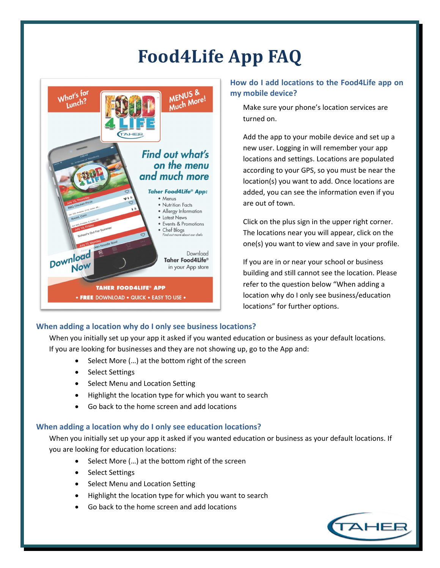# **Food4Life App FAQ**



## **How do I add locations to the Food4Life app on my mobile device?**

Make sure your phone's location services are turned on.

Add the app to your mobile device and set up a new user. Logging in will remember your app locations and settings. Locations are populated according to your GPS, so you must be near the location(s) you want to add. Once locations are added, you can see the information even if you are out of town.

Click on the plus sign in the upper right corner. The locations near you will appear, click on the one(s) you want to view and save in your profile.

If you are in or near your school or business building and still cannot see the location. Please refer to the question below "When adding a location why do I only see business/education locations" for further options.

## **When adding a location why do I only see business locations?**

When you initially set up your app it asked if you wanted education or business as your default locations. If you are looking for businesses and they are not showing up, go to the App and:

- Select More (…) at the bottom right of the screen
- Select Settings
- Select Menu and Location Setting
- Highlight the location type for which you want to search
- Go back to the home screen and add locations

#### **When adding a location why do I only see education locations?**

When you initially set up your app it asked if you wanted education or business as your default locations. If you are looking for education locations:

- Select More (...) at the bottom right of the screen
- Select Settings
- Select Menu and Location Setting
- Highlight the location type for which you want to search
- Go back to the home screen and add locations